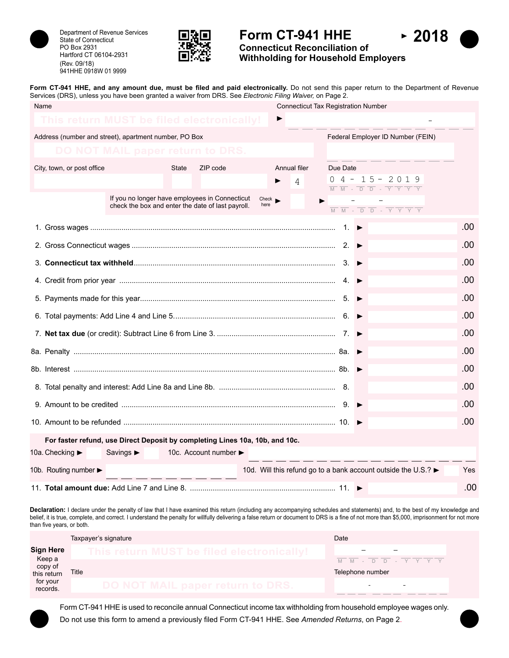

State of Connecticut PO Box 2931 Hartford CT 06104-2931 (Rev. 09/18) 941HHE 0918W 01 9999



# Department of Revenue Services **Department of Revenue Services Department of Revenue Services Department of Revenue Services**



**Connecticut Reconciliation of Withholding for Household Employers**

Form CT-941 HHE, and any amount due, must be filed and paid electronically. Do not send this paper return to the Department of Revenue Services (DRS), unless you have been granted a waiver from DRS. See *Electronic Filing Waiver,* on Page 2.

| Name                                                  |                                                                                                     |              |                                           |                             | <b>Connecticut Tax Registration Number</b> |     |          |   |                                                                                                                                                                                                                                                                                                    |     |
|-------------------------------------------------------|-----------------------------------------------------------------------------------------------------|--------------|-------------------------------------------|-----------------------------|--------------------------------------------|-----|----------|---|----------------------------------------------------------------------------------------------------------------------------------------------------------------------------------------------------------------------------------------------------------------------------------------------------|-----|
| This return MUST be filed electronically!             |                                                                                                     |              |                                           |                             |                                            |     |          |   |                                                                                                                                                                                                                                                                                                    |     |
| Address (number and street), apartment number, PO Box |                                                                                                     |              |                                           |                             |                                            |     |          |   | Federal Employer ID Number (FEIN)                                                                                                                                                                                                                                                                  |     |
|                                                       | <b>DO NOT MAIL paper return to DRS.</b>                                                             |              |                                           |                             |                                            |     |          |   |                                                                                                                                                                                                                                                                                                    |     |
| City, town, or post office                            |                                                                                                     | <b>State</b> | ZIP code                                  |                             | Annual filer<br>4                          |     | Due Date |   | $0$ 4 - 15 - 2019                                                                                                                                                                                                                                                                                  |     |
|                                                       | If you no longer have employees in Connecticut<br>check the box and enter the date of last payroll. |              |                                           | $Check \rightarrow$<br>here |                                            |     |          |   | $\overline{M}$ $\overline{M}$ - $\overline{D}$ $\overline{D}$ - $\overline{Y}$ $\overline{Y}$ $\overline{Y}$ $\overline{Y}$<br>$\overline{M} \quad \overline{M} \quad - \quad \overline{D} \quad \overline{D} \quad - \quad \overline{Y} \quad \overline{Y} \quad \overline{Y} \quad \overline{Y}$ |     |
|                                                       |                                                                                                     |              |                                           |                             |                                            |     |          |   |                                                                                                                                                                                                                                                                                                    | .00 |
|                                                       |                                                                                                     |              |                                           |                             |                                            |     |          |   |                                                                                                                                                                                                                                                                                                    | .00 |
|                                                       |                                                                                                     |              |                                           |                             |                                            |     |          |   |                                                                                                                                                                                                                                                                                                    | .00 |
|                                                       | .00                                                                                                 |              |                                           |                             |                                            |     |          |   |                                                                                                                                                                                                                                                                                                    |     |
|                                                       |                                                                                                     |              |                                           |                             |                                            |     |          |   |                                                                                                                                                                                                                                                                                                    | .00 |
|                                                       |                                                                                                     |              |                                           |                             |                                            |     |          |   |                                                                                                                                                                                                                                                                                                    | .00 |
|                                                       |                                                                                                     |              |                                           |                             |                                            |     |          |   |                                                                                                                                                                                                                                                                                                    | .00 |
|                                                       |                                                                                                     |              |                                           |                             |                                            |     |          |   |                                                                                                                                                                                                                                                                                                    | .00 |
|                                                       |                                                                                                     |              |                                           |                             |                                            |     |          |   |                                                                                                                                                                                                                                                                                                    | .00 |
|                                                       | .00                                                                                                 |              |                                           |                             |                                            |     |          |   |                                                                                                                                                                                                                                                                                                    |     |
|                                                       |                                                                                                     |              |                                           |                             |                                            | .00 |          |   |                                                                                                                                                                                                                                                                                                    |     |
|                                                       |                                                                                                     |              |                                           |                             |                                            |     |          |   |                                                                                                                                                                                                                                                                                                    | .00 |
|                                                       | For faster refund, use Direct Deposit by completing Lines 10a, 10b, and 10c.                        |              |                                           |                             |                                            |     |          |   |                                                                                                                                                                                                                                                                                                    |     |
| 10a. Checking ►                                       | Savings $\blacktriangleright$                                                                       |              | 10c. Account number $\blacktriangleright$ |                             |                                            |     |          |   |                                                                                                                                                                                                                                                                                                    |     |
| 10b. Routing number                                   |                                                                                                     |              |                                           |                             |                                            |     |          |   | 10d. Will this refund go to a bank account outside the U.S.? ►                                                                                                                                                                                                                                     | Yes |
|                                                       |                                                                                                     |              |                                           |                             |                                            |     |          | ▶ |                                                                                                                                                                                                                                                                                                    | .00 |

**Declaration:** I declare under the penalty of law that I have examined this return (including any accompanying schedules and statements) and, to the best of my knowledge and belief, it is true, complete, and correct. I understand the penalty for willfully delivering a false return or document to DRS is a fine of not more than \$5,000, imprisonment for not more than five years, or both.

|                        | Taxpayer's signature                      | Date                   |  |  |  |  |
|------------------------|-------------------------------------------|------------------------|--|--|--|--|
| <b>Sign Here</b>       | This return MUST be filed electronically! |                        |  |  |  |  |
| Keep a                 |                                           | DD-YYYY<br>$M$ $M$ $-$ |  |  |  |  |
| copy of<br>this return | Title                                     | Telephone number       |  |  |  |  |
| for your<br>records.   | DO NOT MAIL paper return to DRS.          | -                      |  |  |  |  |
|                        |                                           |                        |  |  |  |  |

Form CT-941 HHE is used to reconcile annual Connecticut income tax withholding from household employee wages only. Do not use this form to amend a previously filed Form CT-941 HHE. See *Amended Returns*, on Page 2.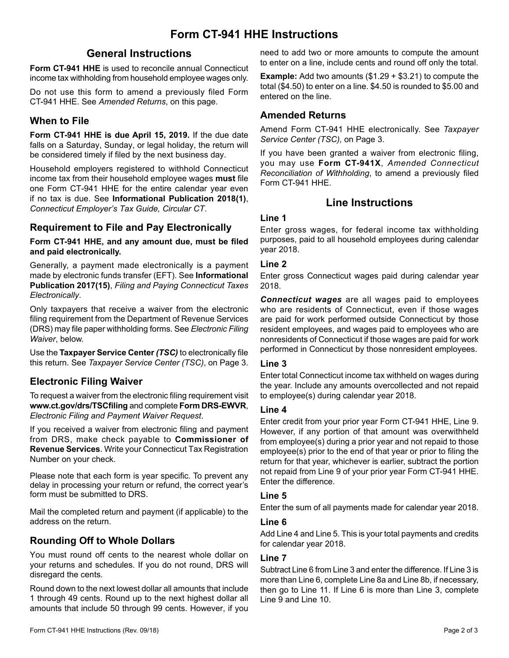# **General Instructions**

**Form CT-941 HHE** is used to reconcile annual Connecticut income tax withholding from household employee wages only.

Do not use this form to amend a previously filed Form CT-941 HHE. See *Amended Returns*, on this page.

## **When to File**

**Form CT-941 HHE is due April 15, 2019.** If the due date falls on a Saturday, Sunday, or legal holiday, the return will be considered timely if filed by the next business day.

Household employers registered to withhold Connecticut income tax from their household employee wages **must** file one Form CT-941 HHE for the entire calendar year even if no tax is due. See **Informational Publication 2018(1)**, *Connecticut Employer's Tax Guide, Circular CT*.

## **Requirement to File and Pay Electronically**

**Form CT-941 HHE, and any amount due, must be filed and paid electronically.**

Generally, a payment made electronically is a payment made by electronic funds transfer (EFT). See **Informational Publication 2017(15)**, *Filing and Paying Connecticut Taxes Electronically*.

Only taxpayers that receive a waiver from the electronic filing requirement from the Department of Revenue Services (DRS) may file paper withholding forms. See *Electronic Filing Waiver*, below.

Use the **Taxpayer Service Center** *(TSC)* to electronically file this return. See *Taxpayer Service Center (TSC)*, on Page 3.

# **Electronic Filing Waiver**

To request a waiver from the electronic filing requirement visit **www.ct.gov/drs/TSCfiling** and complete **Form DRS-EWVR**, *Electronic Filing and Payment Waiver Request*.

If you received a waiver from electronic filing and payment from DRS, make check payable to **Commissioner of Revenue Services**. Write your Connecticut Tax Registration Number on your check.

Please note that each form is year specific. To prevent any delay in processing your return or refund, the correct year's form must be submitted to DRS.

Mail the completed return and payment (if applicable) to the address on the return.

# **Rounding Off to Whole Dollars**

You must round off cents to the nearest whole dollar on your returns and schedules. If you do not round, DRS will disregard the cents.

Round down to the next lowest dollar all amounts that include 1 through 49 cents. Round up to the next highest dollar all amounts that include 50 through 99 cents. However, if you need to add two or more amounts to compute the amount to enter on a line, include cents and round off only the total.

**Example:** Add two amounts (\$1.29 + \$3.21) to compute the total (\$4.50) to enter on a line. \$4.50 is rounded to \$5.00 and entered on the line.

## **Amended Returns**

Amend Form CT-941 HHE electronically. See *Taxpayer Service Center (TSC),* on Page 3.

If you have been granted a waiver from electronic filing, you may use **Form CT-941X**, *Amended Connecticut Reconciliation of Withholding*, to amend a previously filed Form CT-941 HHE.

# **Line Instructions**

#### **Line 1**

Enter gross wages, for federal income tax withholding purposes, paid to all household employees during calendar year 2018.

#### **Line 2**

Enter gross Connecticut wages paid during calendar year 2018.

*Connecticut wages* are all wages paid to employees who are residents of Connecticut, even if those wages are paid for work performed outside Connecticut by those resident employees, and wages paid to employees who are nonresidents of Connecticut if those wages are paid for work performed in Connecticut by those nonresident employees.

#### **Line 3**

Enter total Connecticut income tax withheld on wages during the year. Include any amounts overcollected and not repaid to employee(s) during calendar year 2018.

#### **Line 4**

Enter credit from your prior year Form CT-941 HHE, Line 9. However, if any portion of that amount was overwithheld from employee(s) during a prior year and not repaid to those employee(s) prior to the end of that year or prior to filing the return for that year, whichever is earlier, subtract the portion not repaid from Line 9 of your prior year Form CT-941 HHE. Enter the difference.

#### **Line 5**

Enter the sum of all payments made for calendar year 2018.

#### **Line 6**

Add Line 4 and Line 5. This is your total payments and credits for calendar year 2018.

#### **Line 7**

Subtract Line 6 from Line 3 and enter the difference. If Line 3 is more than Line 6, complete Line 8a and Line 8b, if necessary, then go to Line 11. If Line 6 is more than Line 3, complete Line 9 and Line 10.